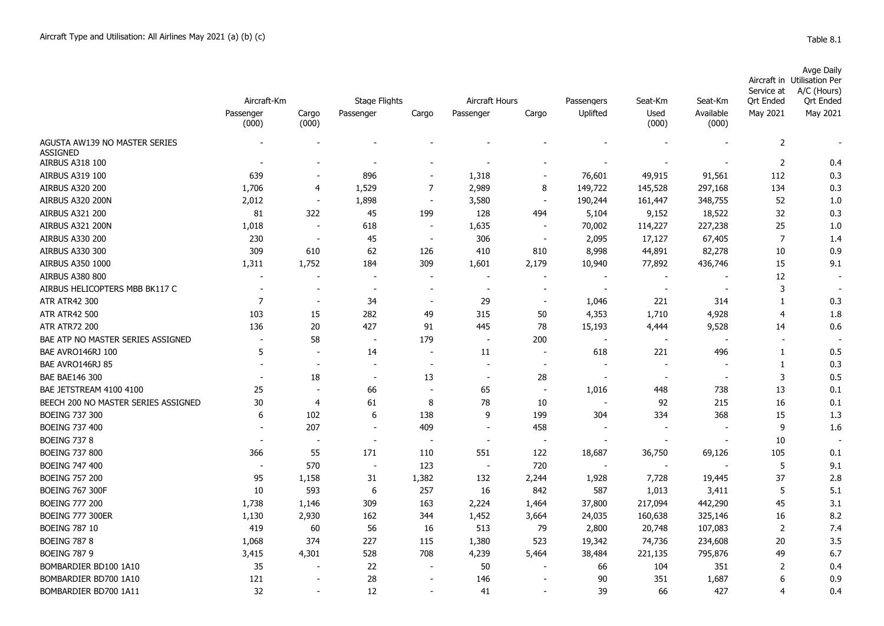| able |  |
|------|--|
|------|--|

|                                           | Aircraft-Km        |                          | <b>Stage Flights</b><br>Aircraft Hours |                          |                          |                          |                          |                          |                               | Service at            | Avge Daily<br>Aircraft in Utilisation Per<br>A/C (Hours) |
|-------------------------------------------|--------------------|--------------------------|----------------------------------------|--------------------------|--------------------------|--------------------------|--------------------------|--------------------------|-------------------------------|-----------------------|----------------------------------------------------------|
|                                           | Passenger<br>(000) | Cargo<br>(000)           | Passenger                              | Cargo                    | Passenger                | Cargo                    | Passengers<br>Uplifted   | Seat-Km<br>Used<br>(000) | Seat-Km<br>Available<br>(000) | Qrt Ended<br>May 2021 | <b>Qrt Ended</b><br>May 2021                             |
| AGUSTA AW139 NO MASTER SERIES             |                    |                          |                                        |                          |                          |                          |                          |                          |                               | $\overline{2}$        |                                                          |
| <b>ASSIGNED</b><br><b>AIRBUS A318 100</b> |                    |                          |                                        |                          |                          |                          |                          |                          |                               | $\overline{2}$        | 0.4                                                      |
| <b>AIRBUS A319 100</b>                    | 639                |                          | 896                                    |                          | 1,318                    | $\sim$                   | 76,601                   | 49,915                   | 91,561                        | 112                   | 0.3                                                      |
| <b>AIRBUS A320 200</b>                    | 1,706              | 4                        | 1,529                                  | 7                        | 2,989                    | 8                        | 149,722                  | 145,528                  | 297,168                       | 134                   | 0.3                                                      |
| AIRBUS A320 200N                          | 2,012              | $\overline{\phantom{a}}$ | 1,898                                  |                          | 3,580                    | $\blacksquare$           | 190,244                  | 161,447                  | 348,755                       | 52                    | 1.0                                                      |
| <b>AIRBUS A321 200</b>                    | 81                 | 322                      | 45                                     | 199                      | 128                      | 494                      | 5,104                    | 9,152                    | 18,522                        | 32                    | 0.3                                                      |
| AIRBUS A321 200N                          | 1,018              | $\sim$                   | 618                                    | $\overline{\phantom{a}}$ | 1,635                    | $\overline{\phantom{a}}$ | 70,002                   | 114,227                  | 227,238                       | 25                    | 1.0                                                      |
| <b>AIRBUS A330 200</b>                    | 230                | $\overline{\phantom{a}}$ | 45                                     | $\overline{\phantom{a}}$ | 306                      | $\overline{\phantom{a}}$ | 2,095                    | 17,127                   | 67,405                        | $\overline{7}$        | 1.4                                                      |
| <b>AIRBUS A330 300</b>                    | 309                | 610                      | 62                                     | 126                      | 410                      | 810                      | 8,998                    | 44,891                   | 82,278                        | 10                    | 0.9                                                      |
| <b>AIRBUS A350 1000</b>                   | 1,311              | 1,752                    | 184                                    | 309                      | 1,601                    | 2,179                    | 10,940                   | 77,892                   | 436,746                       | 15                    | 9.1                                                      |
| <b>AIRBUS A380 800</b>                    |                    |                          |                                        |                          |                          |                          |                          |                          |                               | 12                    |                                                          |
| AIRBUS HELICOPTERS MBB BK117 C            | $\sim$             | $\overline{\phantom{a}}$ | $\sim$                                 | $\sim$                   | $\overline{\phantom{a}}$ | $\sim$                   | $\overline{\phantom{a}}$ | $\sim$                   |                               | 3                     |                                                          |
| <b>ATR ATR42 300</b>                      | 7                  | $\overline{\phantom{a}}$ | 34                                     | $\overline{\phantom{a}}$ | 29                       |                          | 1,046                    | 221                      | 314                           | 1                     | 0.3                                                      |
| <b>ATR ATR42 500</b>                      | 103                | 15                       | 282                                    | 49                       | 315                      | 50                       | 4,353                    | 1,710                    | 4,928                         | $\overline{4}$        | 1.8                                                      |
| <b>ATR ATR72 200</b>                      | 136                | 20                       | 427                                    | 91                       | 445                      | 78                       | 15,193                   | 4,444                    | 9,528                         | 14                    | 0.6                                                      |
| BAE ATP NO MASTER SERIES ASSIGNED         |                    | 58                       |                                        | 179                      |                          | 200                      | $\overline{\phantom{a}}$ | $\overline{\phantom{a}}$ |                               | $\sim$                |                                                          |
| BAE AVRO146RJ 100                         | 5                  |                          | 14                                     | $\blacksquare$           | 11                       |                          | 618                      | 221                      | 496                           | 1                     | 0.5                                                      |
| BAE AVRO146RJ 85                          |                    |                          |                                        | $\overline{\phantom{a}}$ |                          |                          |                          |                          |                               | $\mathbf{1}$          | 0.3                                                      |
| BAE BAE146 300                            |                    | 18                       | $\overline{\phantom{a}}$               | 13                       | $\overline{\phantom{a}}$ | 28                       | $\overline{\phantom{a}}$ | $\overline{\phantom{a}}$ |                               | 3                     | 0.5                                                      |
| BAE JETSTREAM 4100 4100                   | 25                 | $\overline{\phantom{a}}$ | 66                                     | $\overline{\phantom{a}}$ | 65                       | $\overline{\phantom{a}}$ | 1,016                    | 448                      | 738                           | 13                    | 0.1                                                      |
| BEECH 200 NO MASTER SERIES ASSIGNED       | 30                 | 4                        | 61                                     | 8                        | 78                       | 10                       | $\overline{\phantom{a}}$ | 92                       | 215                           | 16                    | 0.1                                                      |
| <b>BOEING 737 300</b>                     | 6                  | 102                      | 6                                      | 138                      | 9                        | 199                      | 304                      | 334                      | 368                           | 15                    | 1.3                                                      |
| <b>BOEING 737 400</b>                     |                    | 207                      |                                        | 409                      |                          | 458                      |                          |                          |                               | 9                     | 1.6                                                      |
| <b>BOEING 737 8</b>                       |                    |                          | $\sim$                                 |                          | $\overline{\phantom{a}}$ | $\overline{\phantom{a}}$ |                          |                          |                               | 10                    |                                                          |
| <b>BOEING 737 800</b>                     | 366                | 55                       | 171                                    | 110                      | 551                      | 122                      | 18,687                   | 36,750                   | 69,126                        | 105                   | 0.1                                                      |
| <b>BOEING 747 400</b>                     |                    | 570                      | $\sim$                                 | 123                      |                          | 720                      |                          |                          |                               | 5                     | 9.1                                                      |
| <b>BOEING 757 200</b>                     | 95                 | 1,158                    | 31                                     | 1,382                    | 132                      | 2,244                    | 1,928                    | 7,728                    | 19,445                        | 37                    | 2.8                                                      |
| <b>BOEING 767 300F</b>                    | 10                 | 593                      | 6                                      | 257                      | 16                       | 842                      | 587                      | 1,013                    | 3,411                         | 5                     | 5.1                                                      |
| <b>BOEING 777 200</b>                     | 1,738              | 1,146                    | 309                                    | 163                      | 2,224                    | 1,464                    | 37,800                   | 217,094                  | 442,290                       | 45                    | 3.1                                                      |
| <b>BOEING 777 300ER</b>                   | 1,130              | 2,930                    | 162                                    | 344                      | 1,452                    | 3,664                    | 24,035                   | 160,638                  | 325,146                       | 16                    | 8.2                                                      |
| <b>BOEING 787 10</b>                      | 419                | 60                       | 56                                     | 16                       | 513                      | 79                       | 2,800                    | 20,748                   | 107,083                       | 2                     | 7.4                                                      |
| <b>BOEING 787 8</b>                       | 1,068              | 374                      | 227                                    | 115                      | 1,380                    | 523                      | 19,342                   | 74,736                   | 234,608                       | 20                    | 3.5                                                      |
| <b>BOEING 787 9</b>                       | 3,415              | 4,301                    | 528                                    | 708                      | 4,239                    | 5,464                    | 38,484                   | 221,135                  | 795,876                       | 49                    | 6.7                                                      |
| BOMBARDIER BD100 1A10                     | 35                 |                          | 22                                     | $\sim$                   | 50                       |                          | 66                       | 104                      | 351                           | $\overline{2}$        | 0.4                                                      |
| BOMBARDIER BD700 1A10                     | 121                |                          | 28                                     |                          | 146                      |                          | 90                       | 351                      | 1,687                         | 6                     | 0.9                                                      |
| BOMBARDIER BD700 1A11                     | 32                 |                          | 12                                     |                          | 41                       |                          | 39                       | 66                       | 427                           | 4                     | 0.4                                                      |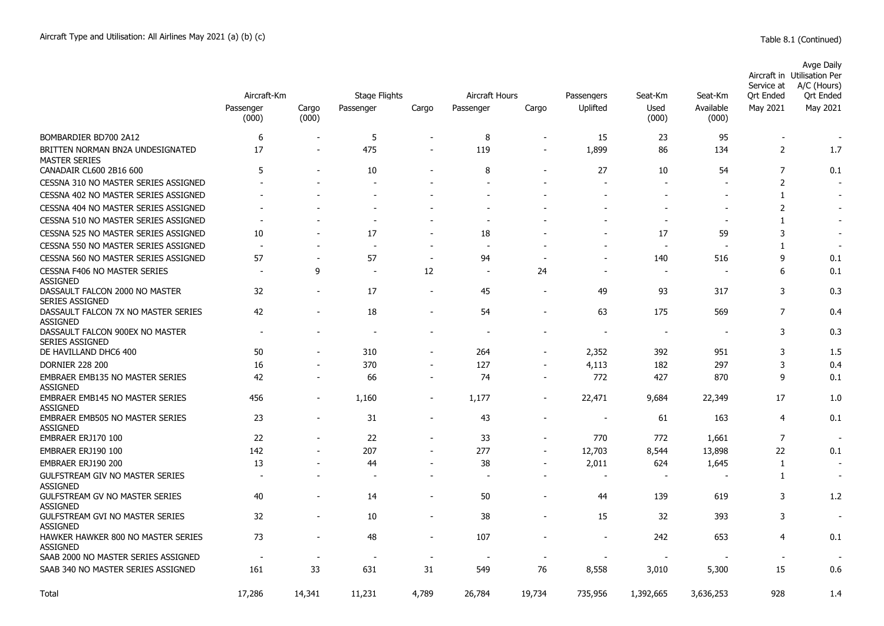|                                                           | Aircraft-Km              |                | Stage Flights | <b>Aircraft Hours</b>    |           | Passengers | Seat-Km                  | Seat-Km                  | Service at<br><b>Ort Ended</b> | Avge Daily<br>Aircraft in Utilisation Per<br>A/C (Hours)<br><b>Ort Ended</b> |                          |
|-----------------------------------------------------------|--------------------------|----------------|---------------|--------------------------|-----------|------------|--------------------------|--------------------------|--------------------------------|------------------------------------------------------------------------------|--------------------------|
|                                                           | Passenger<br>(000)       | Cargo<br>(000) | Passenger     | Cargo                    | Passenger | Cargo      | Uplifted                 | Used<br>(000)            | Available<br>(000)             | May 2021                                                                     | May 2021                 |
| BOMBARDIER BD700 2A12                                     | 6                        |                | 5             |                          | 8         |            | 15                       | 23                       | 95                             | $\blacksquare$                                                               | $\overline{\phantom{a}}$ |
| BRITTEN NORMAN BN2A UNDESIGNATED<br><b>MASTER SERIES</b>  | 17                       |                | 475           |                          | 119       |            | 1,899                    | 86                       | 134                            | 2                                                                            | 1.7                      |
| CANADAIR CL600 2B16 600                                   | 5                        |                | 10            |                          | 8         |            | 27                       | 10                       | 54                             | 7                                                                            | 0.1                      |
| CESSNA 310 NO MASTER SERIES ASSIGNED                      |                          |                |               |                          |           |            |                          |                          |                                | 2                                                                            |                          |
| CESSNA 402 NO MASTER SERIES ASSIGNED                      |                          |                |               |                          |           |            |                          |                          |                                | 1                                                                            |                          |
| CESSNA 404 NO MASTER SERIES ASSIGNED                      |                          |                |               |                          |           |            |                          |                          |                                | $\overline{2}$                                                               |                          |
| CESSNA 510 NO MASTER SERIES ASSIGNED                      |                          |                |               |                          |           |            |                          |                          | $\overline{\phantom{a}}$       | $\mathbf{1}$                                                                 | $\overline{\phantom{a}}$ |
| CESSNA 525 NO MASTER SERIES ASSIGNED                      | 10                       |                | 17            |                          | 18        |            |                          | 17                       | 59                             | 3                                                                            |                          |
| CESSNA 550 NO MASTER SERIES ASSIGNED                      |                          |                |               | $\overline{\phantom{a}}$ |           |            |                          |                          |                                | 1                                                                            |                          |
| CESSNA 560 NO MASTER SERIES ASSIGNED                      | 57                       |                | 57            | $\blacksquare$           | 94        |            |                          | 140                      | 516                            | 9                                                                            | 0.1                      |
| CESSNA F406 NO MASTER SERIES<br><b>ASSIGNED</b>           |                          | 9              |               | 12                       | $\sim$    | 24         |                          |                          |                                | 6                                                                            | 0.1                      |
| DASSAULT FALCON 2000 NO MASTER<br><b>SERIES ASSIGNED</b>  | 32                       |                | 17            | $\overline{\phantom{a}}$ | 45        |            | 49                       | 93                       | 317                            | 3                                                                            | 0.3                      |
| DASSAULT FALCON 7X NO MASTER SERIES<br><b>ASSIGNED</b>    | 42                       |                | 18            |                          | 54        |            | 63                       | 175                      | 569                            | $\overline{7}$                                                               | 0.4                      |
| DASSAULT FALCON 900EX NO MASTER<br><b>SERIES ASSIGNED</b> | $\overline{\phantom{a}}$ |                |               |                          |           |            | $\overline{\phantom{a}}$ | $\overline{\phantom{a}}$ | $\overline{\phantom{a}}$       | 3                                                                            | 0.3                      |
| DE HAVILLAND DHC6 400                                     | 50                       |                | 310           |                          | 264       |            | 2,352                    | 392                      | 951                            | 3                                                                            | 1.5                      |
| <b>DORNIER 228 200</b>                                    | 16                       |                | 370           |                          | 127       |            | 4,113                    | 182                      | 297                            | 3                                                                            | 0.4                      |
| <b>EMBRAER EMB135 NO MASTER SERIES</b><br><b>ASSIGNED</b> | 42                       |                | 66            |                          | 74        |            | 772                      | 427                      | 870                            | 9                                                                            | 0.1                      |
| <b>EMBRAER EMB145 NO MASTER SERIES</b><br><b>ASSIGNED</b> | 456                      |                | 1,160         | $\blacksquare$           | 1,177     |            | 22,471                   | 9,684                    | 22,349                         | 17                                                                           | 1.0                      |
| EMBRAER EMB505 NO MASTER SERIES<br><b>ASSIGNED</b>        | 23                       |                | 31            | $\overline{\phantom{a}}$ | 43        |            | $\overline{\phantom{a}}$ | 61                       | 163                            | $\overline{4}$                                                               | 0.1                      |
| EMBRAER ERJ170 100                                        | 22                       |                | 22            |                          | 33        |            | 770                      | 772                      | 1,661                          | $\overline{7}$                                                               | $\overline{\phantom{a}}$ |
| EMBRAER ERJ190 100                                        | 142                      | $\blacksquare$ | 207           |                          | 277       |            | 12,703                   | 8,544                    | 13,898                         | 22                                                                           | 0.1                      |
| EMBRAER ERJ190 200                                        | 13                       |                | 44            |                          | 38        |            | 2,011                    | 624                      | 1,645                          | 1                                                                            |                          |
| <b>GULFSTREAM GIV NO MASTER SERIES</b><br><b>ASSIGNED</b> |                          |                |               |                          |           |            | $\overline{a}$           |                          |                                | 1                                                                            |                          |
| <b>GULFSTREAM GV NO MASTER SERIES</b><br><b>ASSIGNED</b>  | 40                       | $\blacksquare$ | 14            | $\overline{\phantom{a}}$ | 50        | ٠          | 44                       | 139                      | 619                            | 3                                                                            | 1.2                      |
| <b>GULFSTREAM GVI NO MASTER SERIES</b><br><b>ASSIGNED</b> | 32                       |                | 10            | ۰                        | 38        |            | 15                       | 32                       | 393                            | 3                                                                            | $\overline{\phantom{a}}$ |
| HAWKER HAWKER 800 NO MASTER SERIES<br><b>ASSIGNED</b>     | 73                       |                | 48            | $\overline{\phantom{a}}$ | 107       |            | $\overline{\phantom{a}}$ | 242                      | 653                            | 4                                                                            | 0.1                      |
| SAAB 2000 NO MASTER SERIES ASSIGNED                       |                          |                |               |                          |           |            |                          |                          |                                |                                                                              |                          |
| SAAB 340 NO MASTER SERIES ASSIGNED                        | 161                      | 33             | 631           | 31                       | 549       | 76         | 8,558                    | 3,010                    | 5,300                          | 15                                                                           | 0.6                      |
| Total                                                     | 17,286                   | 14,341         | 11,231        | 4,789                    | 26,784    | 19,734     | 735,956                  | 1,392,665                | 3,636,253                      | 928                                                                          | 1.4                      |